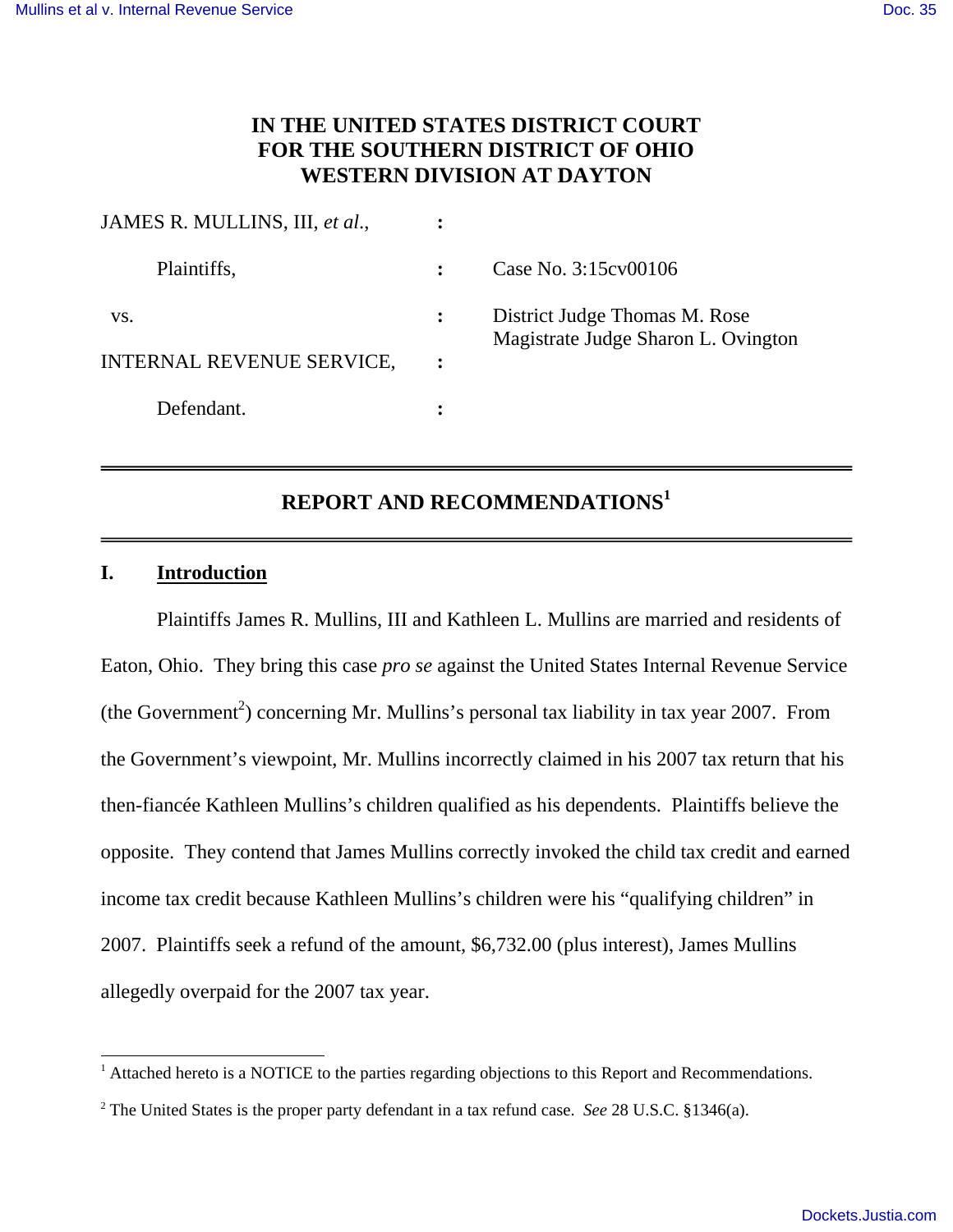# **IN THE UNITED STATES DISTRICT COURT FOR THE SOUTHERN DISTRICT OF OHIO WESTERN DIVISION AT DAYTON**

| JAMES R. MULLINS, III, et al., |   |                                                                      |
|--------------------------------|---|----------------------------------------------------------------------|
| Plaintiffs,                    |   | Case No. 3:15 cv 00106                                               |
| VS.                            |   | District Judge Thomas M. Rose<br>Magistrate Judge Sharon L. Ovington |
| INTERNAL REVENUE SERVICE,      | : |                                                                      |
| Defendant.                     |   |                                                                      |

# **REPORT AND RECOMMENDATIONS<sup>1</sup>**

#### **I. Introduction**

-

 Plaintiffs James R. Mullins, III and Kathleen L. Mullins are married and residents of Eaton, Ohio. They bring this case *pro se* against the United States Internal Revenue Service  $(the Government<sup>2</sup>) concerning Mr. Mullins's personal tax liability in tax year 2007. From$ the Government's viewpoint, Mr. Mullins incorrectly claimed in his 2007 tax return that his then-fiancée Kathleen Mullins's children qualified as his dependents. Plaintiffs believe the opposite. They contend that James Mullins correctly invoked the child tax credit and earned income tax credit because Kathleen Mullins's children were his "qualifying children" in 2007. Plaintiffs seek a refund of the amount, \$6,732.00 (plus interest), James Mullins allegedly overpaid for the 2007 tax year.

 $<sup>1</sup>$  Attached hereto is a NOTICE to the parties regarding objections to this Report and Recommendations.</sup>

<sup>2</sup> The United States is the proper party defendant in a tax refund case. *See* 28 U.S.C. §1346(a).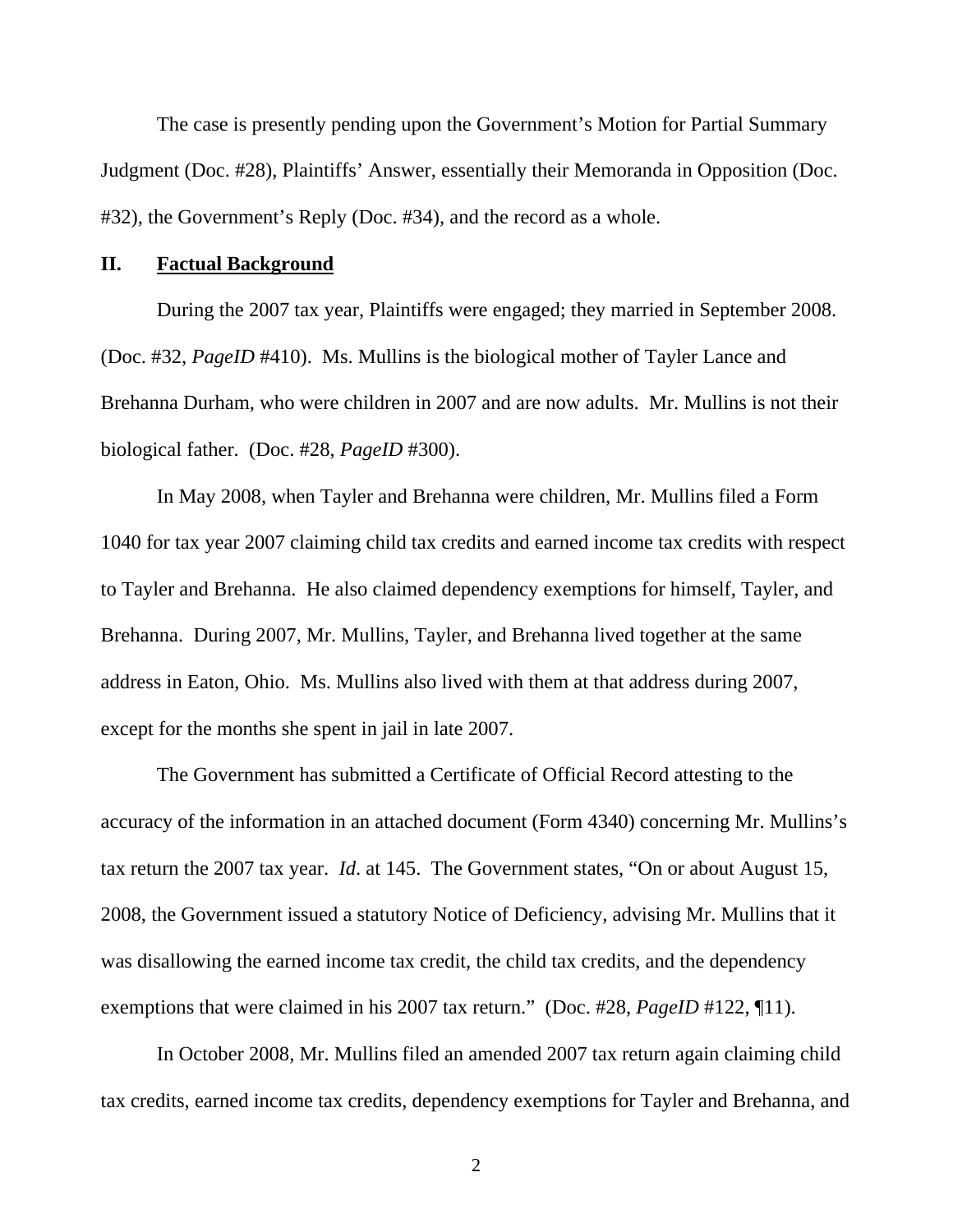The case is presently pending upon the Government's Motion for Partial Summary Judgment (Doc. #28), Plaintiffs' Answer, essentially their Memoranda in Opposition (Doc. #32), the Government's Reply (Doc. #34), and the record as a whole.

#### **II. Factual Background**

 During the 2007 tax year, Plaintiffs were engaged; they married in September 2008. (Doc. #32, *PageID* #410). Ms. Mullins is the biological mother of Tayler Lance and Brehanna Durham, who were children in 2007 and are now adults. Mr. Mullins is not their biological father. (Doc. #28, *PageID* #300).

 In May 2008, when Tayler and Brehanna were children, Mr. Mullins filed a Form 1040 for tax year 2007 claiming child tax credits and earned income tax credits with respect to Tayler and Brehanna. He also claimed dependency exemptions for himself, Tayler, and Brehanna. During 2007, Mr. Mullins, Tayler, and Brehanna lived together at the same address in Eaton, Ohio. Ms. Mullins also lived with them at that address during 2007, except for the months she spent in jail in late 2007.

 The Government has submitted a Certificate of Official Record attesting to the accuracy of the information in an attached document (Form 4340) concerning Mr. Mullins's tax return the 2007 tax year. *Id*. at 145. The Government states, "On or about August 15, 2008, the Government issued a statutory Notice of Deficiency, advising Mr. Mullins that it was disallowing the earned income tax credit, the child tax credits, and the dependency exemptions that were claimed in his 2007 tax return." (Doc. #28, *PageID* #122, \inepti1).

 In October 2008, Mr. Mullins filed an amended 2007 tax return again claiming child tax credits, earned income tax credits, dependency exemptions for Tayler and Brehanna, and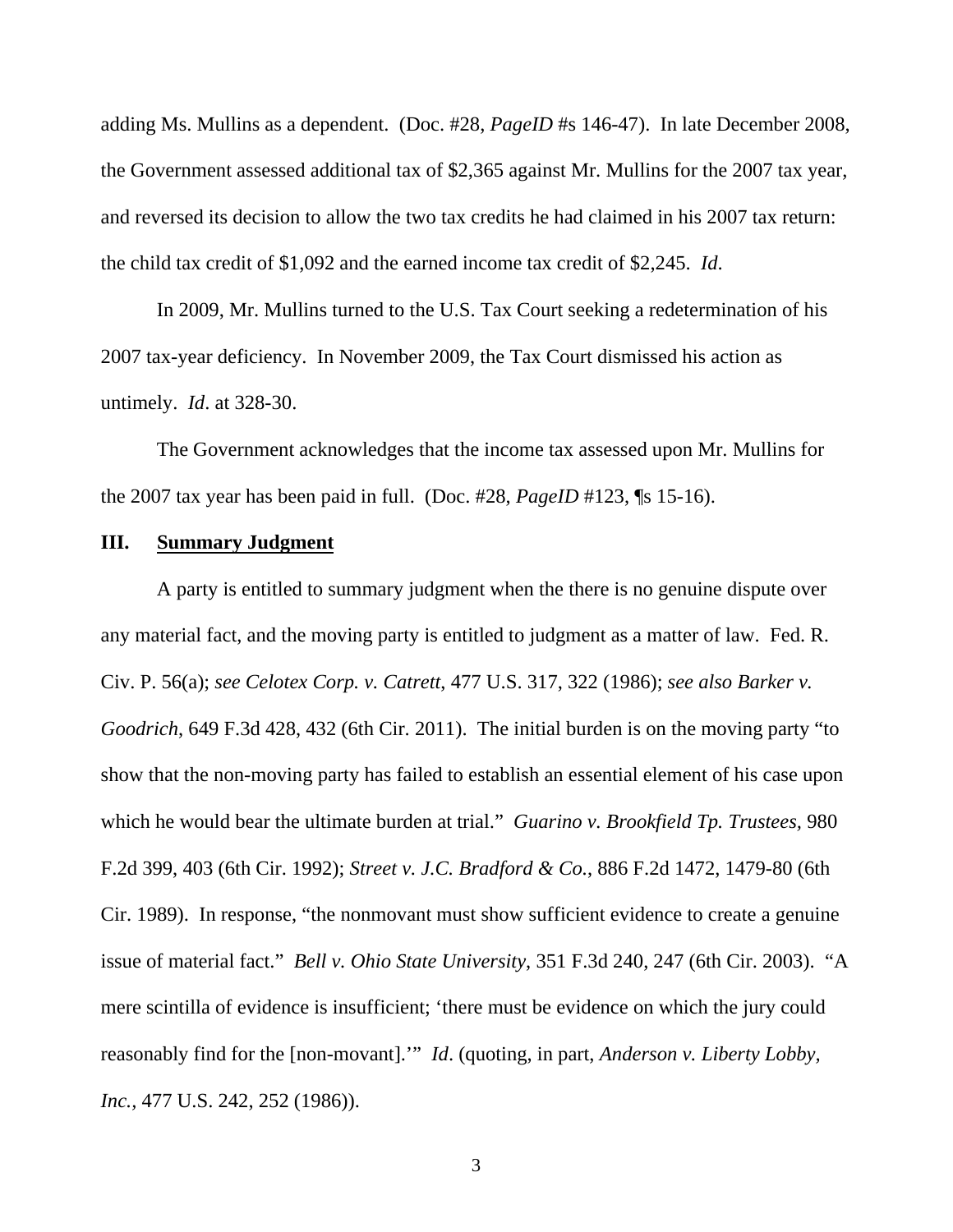adding Ms. Mullins as a dependent. (Doc. #28, *PageID* #s 146-47). In late December 2008, the Government assessed additional tax of \$2,365 against Mr. Mullins for the 2007 tax year, and reversed its decision to allow the two tax credits he had claimed in his 2007 tax return: the child tax credit of \$1,092 and the earned income tax credit of \$2,245. *Id*.

 In 2009, Mr. Mullins turned to the U.S. Tax Court seeking a redetermination of his 2007 tax-year deficiency. In November 2009, the Tax Court dismissed his action as untimely. *Id*. at 328-30.

 The Government acknowledges that the income tax assessed upon Mr. Mullins for the 2007 tax year has been paid in full. (Doc. #28, *PageID* #123, ¶s 15-16).

## **III. Summary Judgment**

 A party is entitled to summary judgment when the there is no genuine dispute over any material fact, and the moving party is entitled to judgment as a matter of law. Fed. R. Civ. P. 56(a); *see Celotex Corp. v. Catrett*, 477 U.S. 317, 322 (1986); *see also Barker v. Goodrich*, 649 F.3d 428, 432 (6th Cir. 2011). The initial burden is on the moving party "to show that the non-moving party has failed to establish an essential element of his case upon which he would bear the ultimate burden at trial." *Guarino v. Brookfield Tp. Trustees,* 980 F.2d 399, 403 (6th Cir. 1992); *Street v. J.C. Bradford & Co.*, 886 F.2d 1472, 1479-80 (6th Cir. 1989). In response, "the nonmovant must show sufficient evidence to create a genuine issue of material fact." *Bell v. Ohio State University*, 351 F.3d 240, 247 (6th Cir. 2003). "A mere scintilla of evidence is insufficient; 'there must be evidence on which the jury could reasonably find for the [non-movant].'" *Id*. (quoting, in part, *Anderson v. Liberty Lobby, Inc.,* 477 U.S. 242, 252 (1986)).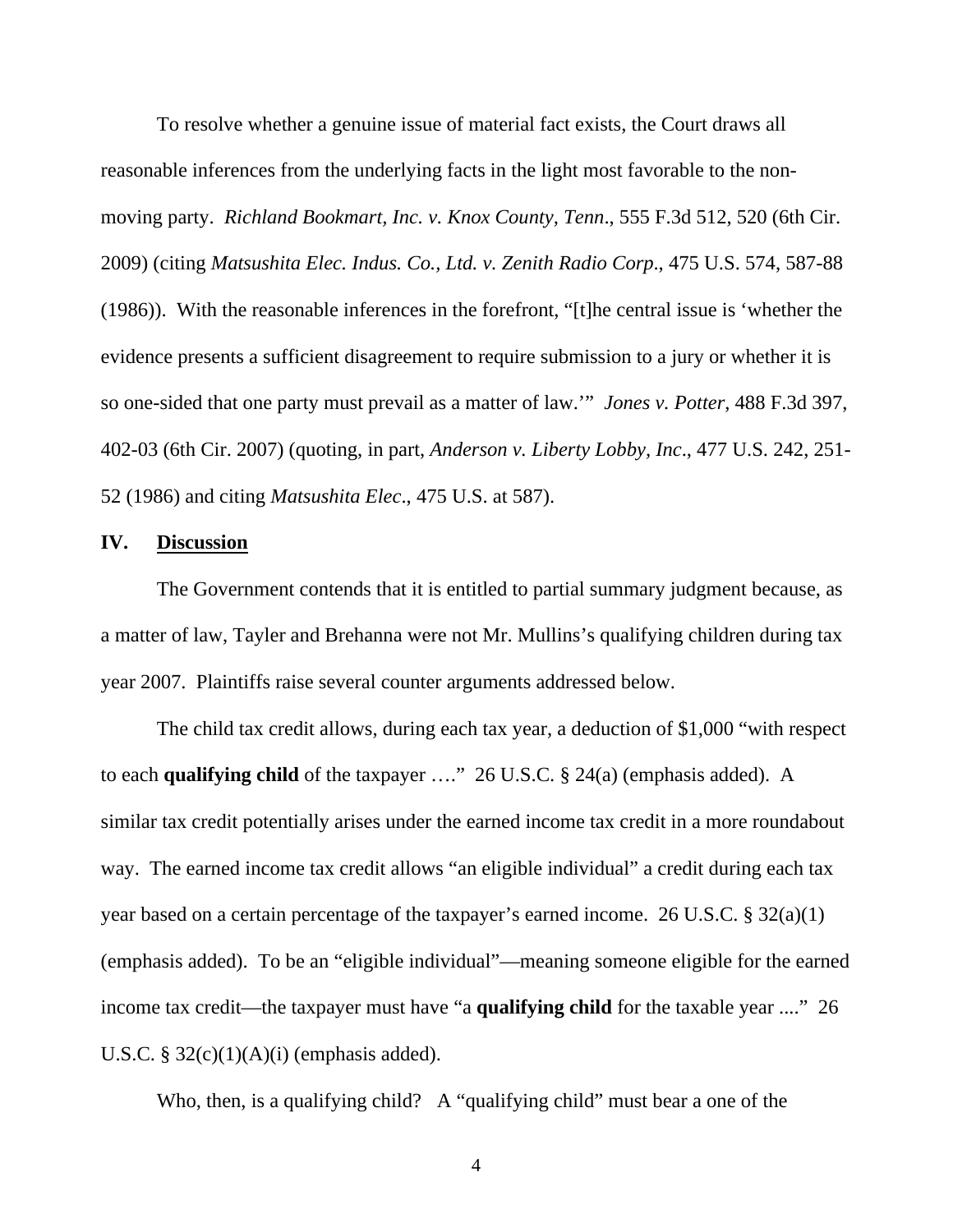To resolve whether a genuine issue of material fact exists, the Court draws all reasonable inferences from the underlying facts in the light most favorable to the nonmoving party. *Richland Bookmart, Inc. v. Knox County, Tenn*., 555 F.3d 512, 520 (6th Cir. 2009) (citing *Matsushita Elec. Indus. Co., Ltd. v. Zenith Radio Corp*., 475 U.S. 574, 587-88 (1986)). With the reasonable inferences in the forefront, "[t]he central issue is 'whether the evidence presents a sufficient disagreement to require submission to a jury or whether it is so one-sided that one party must prevail as a matter of law.'" *Jones v. Potter*, 488 F.3d 397, 402-03 (6th Cir. 2007) (quoting, in part, *Anderson v. Liberty Lobby, Inc*., 477 U.S. 242, 251- 52 (1986) and citing *Matsushita Elec*., 475 U.S. at 587).

## **IV. Discussion**

 The Government contends that it is entitled to partial summary judgment because, as a matter of law, Tayler and Brehanna were not Mr. Mullins's qualifying children during tax year 2007. Plaintiffs raise several counter arguments addressed below.

 The child tax credit allows, during each tax year, a deduction of \$1,000 "with respect to each **qualifying child** of the taxpayer …." 26 U.S.C. § 24(a) (emphasis added). A similar tax credit potentially arises under the earned income tax credit in a more roundabout way. The earned income tax credit allows "an eligible individual" a credit during each tax year based on a certain percentage of the taxpayer's earned income. 26 U.S.C. § 32(a)(1) (emphasis added). To be an "eligible individual"—meaning someone eligible for the earned income tax credit—the taxpayer must have "a **qualifying child** for the taxable year ...." 26 U.S.C.  $\S 32(c)(1)(A)(i)$  (emphasis added).

Who, then, is a qualifying child? A "qualifying child" must bear a one of the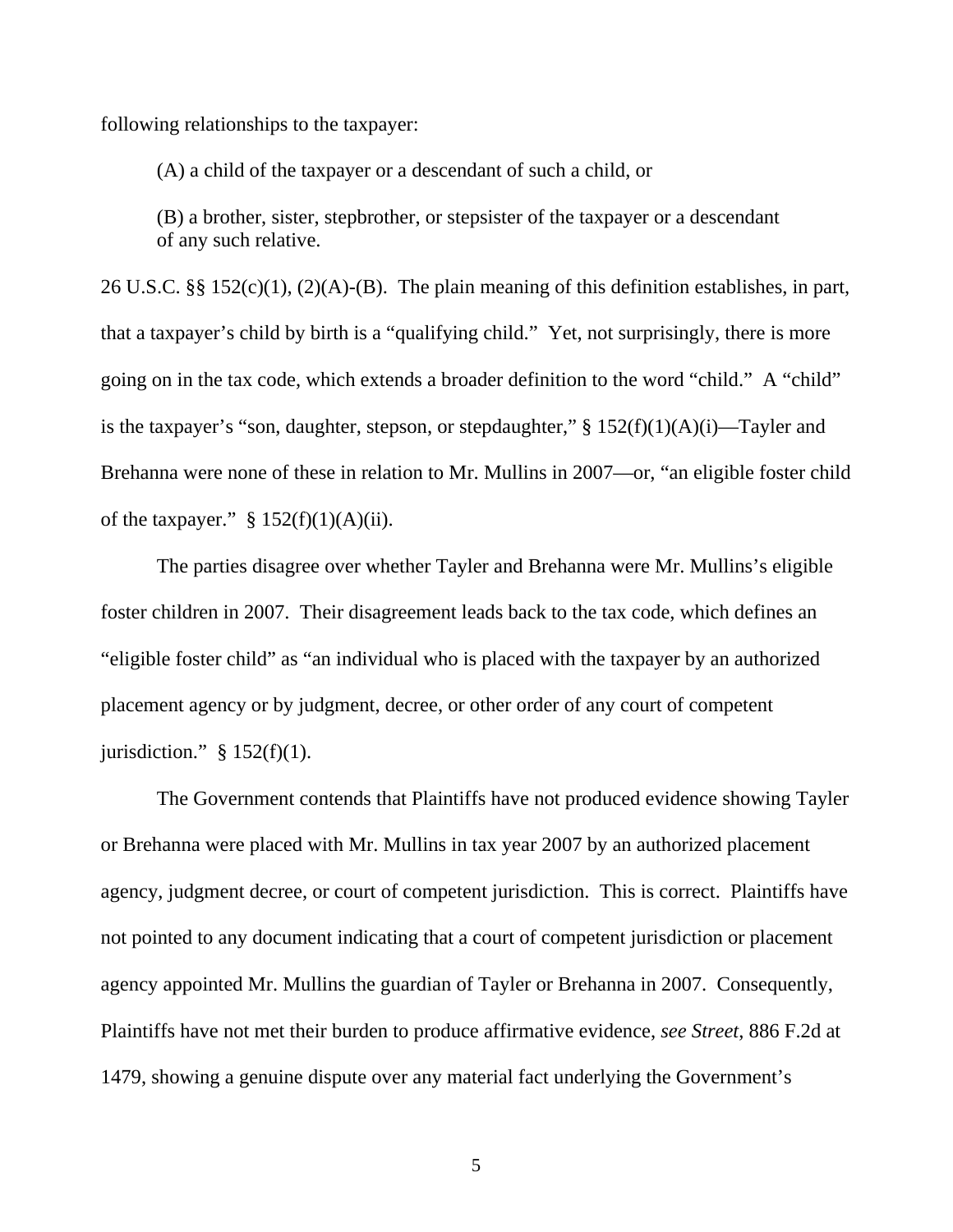following relationships to the taxpayer:

(A) a child of the taxpayer or a descendant of such a child, or

(B) a brother, sister, stepbrother, or stepsister of the taxpayer or a descendant of any such relative.

26 U.S.C. §§ 152(c)(1), (2)(A)-(B). The plain meaning of this definition establishes, in part, that a taxpayer's child by birth is a "qualifying child." Yet, not surprisingly, there is more going on in the tax code, which extends a broader definition to the word "child." A "child" is the taxpayer's "son, daughter, stepson, or stepdaughter,"  $\S 152(f)(1)(A)(i)$ —Tayler and Brehanna were none of these in relation to Mr. Mullins in 2007—or, "an eligible foster child of the taxpayer."  $§ 152(f)(1)(A)(ii)$ .

 The parties disagree over whether Tayler and Brehanna were Mr. Mullins's eligible foster children in 2007. Their disagreement leads back to the tax code, which defines an "eligible foster child" as "an individual who is placed with the taxpayer by an authorized placement agency or by judgment, decree, or other order of any court of competent jurisdiction."  $§ 152(f)(1)$ .

 The Government contends that Plaintiffs have not produced evidence showing Tayler or Brehanna were placed with Mr. Mullins in tax year 2007 by an authorized placement agency, judgment decree, or court of competent jurisdiction. This is correct. Plaintiffs have not pointed to any document indicating that a court of competent jurisdiction or placement agency appointed Mr. Mullins the guardian of Tayler or Brehanna in 2007. Consequently, Plaintiffs have not met their burden to produce affirmative evidence, *see Street*, 886 F.2d at 1479, showing a genuine dispute over any material fact underlying the Government's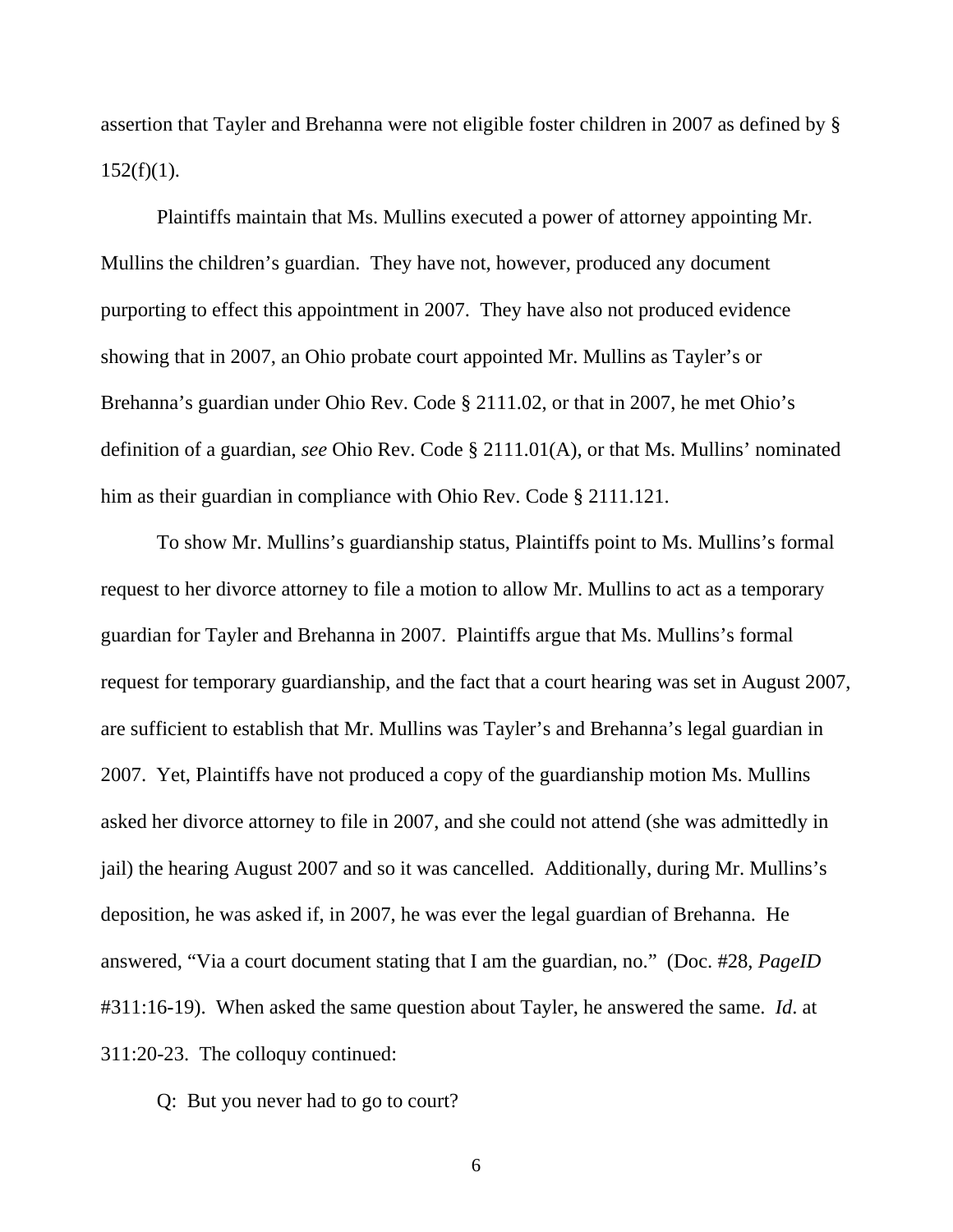assertion that Tayler and Brehanna were not eligible foster children in 2007 as defined by §  $152(f)(1)$ .

 Plaintiffs maintain that Ms. Mullins executed a power of attorney appointing Mr. Mullins the children's guardian. They have not, however, produced any document purporting to effect this appointment in 2007. They have also not produced evidence showing that in 2007, an Ohio probate court appointed Mr. Mullins as Tayler's or Brehanna's guardian under Ohio Rev. Code § 2111.02, or that in 2007, he met Ohio's definition of a guardian, *see* Ohio Rev. Code § 2111.01(A), or that Ms. Mullins' nominated him as their guardian in compliance with Ohio Rev. Code § 2111.121.

 To show Mr. Mullins's guardianship status, Plaintiffs point to Ms. Mullins's formal request to her divorce attorney to file a motion to allow Mr. Mullins to act as a temporary guardian for Tayler and Brehanna in 2007. Plaintiffs argue that Ms. Mullins's formal request for temporary guardianship, and the fact that a court hearing was set in August 2007, are sufficient to establish that Mr. Mullins was Tayler's and Brehanna's legal guardian in 2007. Yet, Plaintiffs have not produced a copy of the guardianship motion Ms. Mullins asked her divorce attorney to file in 2007, and she could not attend (she was admittedly in jail) the hearing August 2007 and so it was cancelled. Additionally, during Mr. Mullins's deposition, he was asked if, in 2007, he was ever the legal guardian of Brehanna. He answered, "Via a court document stating that I am the guardian, no." (Doc. #28, *PageID* #311:16-19). When asked the same question about Tayler, he answered the same. *Id*. at 311:20-23. The colloquy continued:

Q: But you never had to go to court?

 $\sim$  6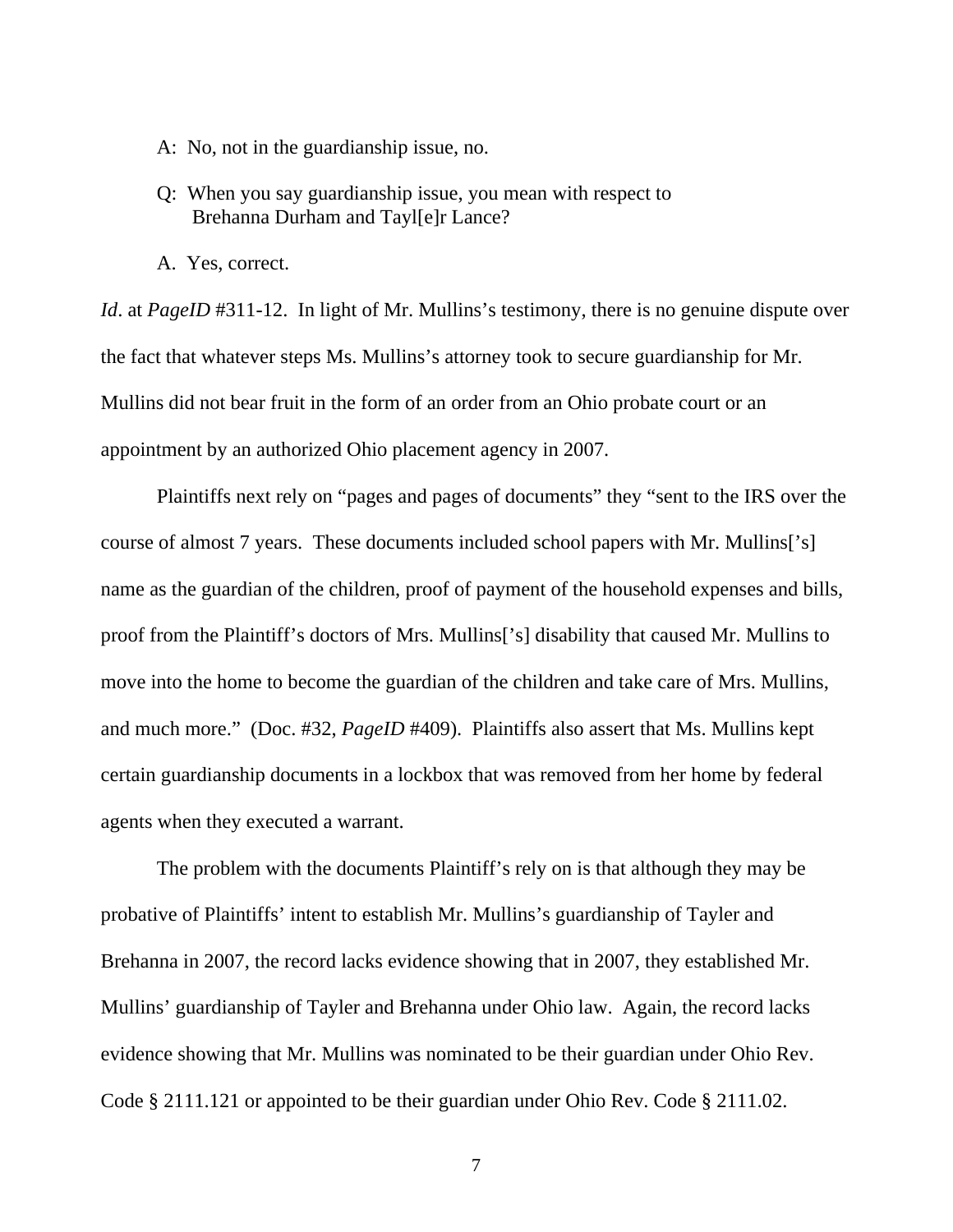- A: No, not in the guardianship issue, no.
- Q: When you say guardianship issue, you mean with respect to Brehanna Durham and Tayl[e]r Lance?
- A. Yes, correct.

*Id.* at *PageID* #311-12. In light of Mr. Mullins's testimony, there is no genuine dispute over the fact that whatever steps Ms. Mullins's attorney took to secure guardianship for Mr. Mullins did not bear fruit in the form of an order from an Ohio probate court or an appointment by an authorized Ohio placement agency in 2007.

 Plaintiffs next rely on "pages and pages of documents" they "sent to the IRS over the course of almost 7 years. These documents included school papers with Mr. Mullins['s] name as the guardian of the children, proof of payment of the household expenses and bills, proof from the Plaintiff's doctors of Mrs. Mullins['s] disability that caused Mr. Mullins to move into the home to become the guardian of the children and take care of Mrs. Mullins, and much more." (Doc. #32, *PageID* #409). Plaintiffs also assert that Ms. Mullins kept certain guardianship documents in a lockbox that was removed from her home by federal agents when they executed a warrant.

 The problem with the documents Plaintiff's rely on is that although they may be probative of Plaintiffs' intent to establish Mr. Mullins's guardianship of Tayler and Brehanna in 2007, the record lacks evidence showing that in 2007, they established Mr. Mullins' guardianship of Tayler and Brehanna under Ohio law. Again, the record lacks evidence showing that Mr. Mullins was nominated to be their guardian under Ohio Rev. Code § 2111.121 or appointed to be their guardian under Ohio Rev. Code § 2111.02.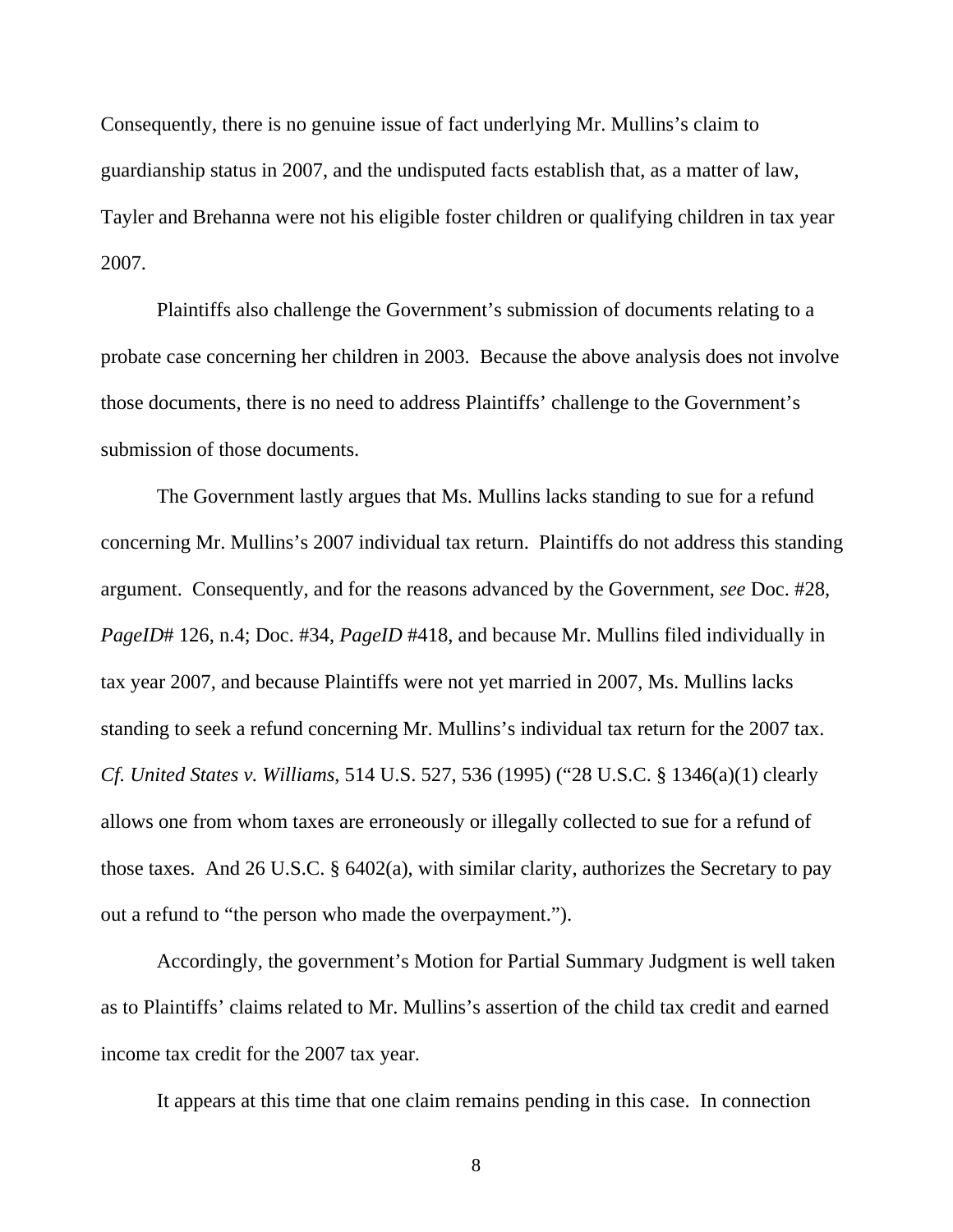Consequently, there is no genuine issue of fact underlying Mr. Mullins's claim to guardianship status in 2007, and the undisputed facts establish that, as a matter of law, Tayler and Brehanna were not his eligible foster children or qualifying children in tax year 2007.

 Plaintiffs also challenge the Government's submission of documents relating to a probate case concerning her children in 2003. Because the above analysis does not involve those documents, there is no need to address Plaintiffs' challenge to the Government's submission of those documents.

 The Government lastly argues that Ms. Mullins lacks standing to sue for a refund concerning Mr. Mullins's 2007 individual tax return. Plaintiffs do not address this standing argument. Consequently, and for the reasons advanced by the Government, *see* Doc. #28, *PageID*# 126, n.4; Doc. #34, *PageID* #418, and because Mr. Mullins filed individually in tax year 2007, and because Plaintiffs were not yet married in 2007, Ms. Mullins lacks standing to seek a refund concerning Mr. Mullins's individual tax return for the 2007 tax. *Cf. United States v. Williams*, 514 U.S. 527, 536 (1995) ("28 U.S.C. § 1346(a)(1) clearly allows one from whom taxes are erroneously or illegally collected to sue for a refund of those taxes. And 26 U.S.C. § 6402(a), with similar clarity, authorizes the Secretary to pay out a refund to "the person who made the overpayment.").

 Accordingly, the government's Motion for Partial Summary Judgment is well taken as to Plaintiffs' claims related to Mr. Mullins's assertion of the child tax credit and earned income tax credit for the 2007 tax year.

It appears at this time that one claim remains pending in this case. In connection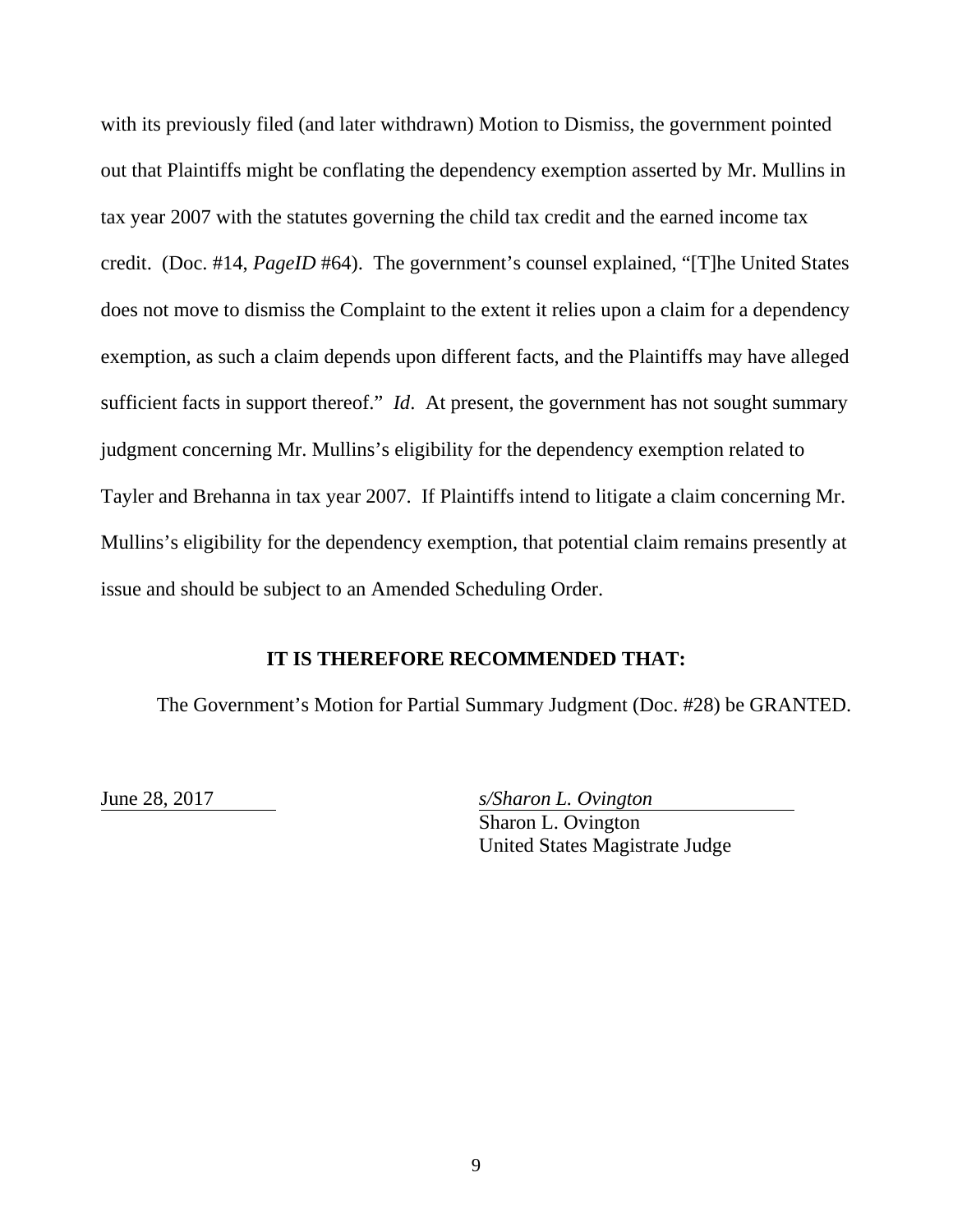with its previously filed (and later withdrawn) Motion to Dismiss, the government pointed out that Plaintiffs might be conflating the dependency exemption asserted by Mr. Mullins in tax year 2007 with the statutes governing the child tax credit and the earned income tax credit. (Doc. #14, *PageID* #64). The government's counsel explained, "[T]he United States does not move to dismiss the Complaint to the extent it relies upon a claim for a dependency exemption, as such a claim depends upon different facts, and the Plaintiffs may have alleged sufficient facts in support thereof." *Id*. At present, the government has not sought summary judgment concerning Mr. Mullins's eligibility for the dependency exemption related to Tayler and Brehanna in tax year 2007. If Plaintiffs intend to litigate a claim concerning Mr. Mullins's eligibility for the dependency exemption, that potential claim remains presently at issue and should be subject to an Amended Scheduling Order.

# **IT IS THEREFORE RECOMMENDED THAT:**

The Government's Motion for Partial Summary Judgment (Doc. #28) be GRANTED.

June 28, 2017 *s/Sharon L. Ovington*  Sharon L. Ovington United States Magistrate Judge